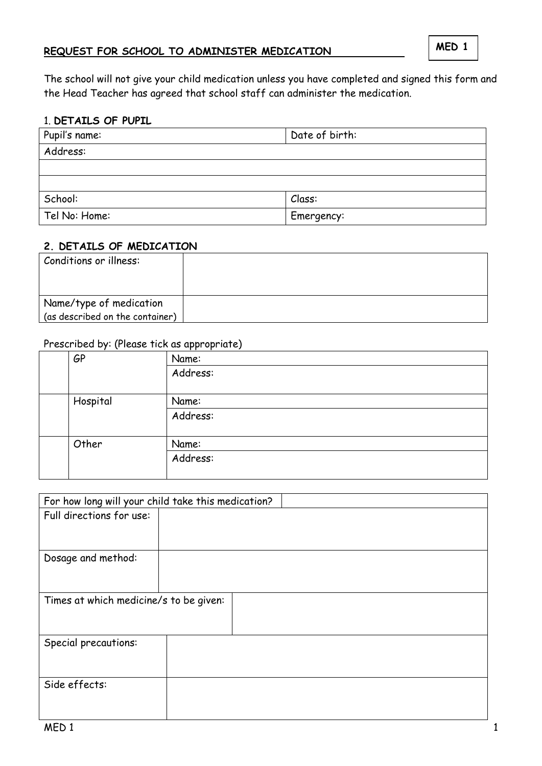### **REQUEST FOR SCHOOL TO ADMINISTER MEDICATION**

The school will not give your child medication unless you have completed and signed this form and the Head Teacher has agreed that school staff can administer the medication.

### 1. **DETAILS OF PUPIL**

| Pupil's name: | Date of birth: |
|---------------|----------------|
| Address:      |                |
|               |                |
|               |                |
| School:       | Class:         |
| Tel No: Home: | Emergency:     |

#### **2. DETAILS OF MEDICATION**

| Conditions or illness:          |  |
|---------------------------------|--|
|                                 |  |
| Name/type of medication         |  |
| (as described on the container) |  |

### Prescribed by: (Please tick as appropriate)

| GP       | $\cdots$<br>Name: |
|----------|-------------------|
|          | Address:          |
| Hospital | Name:             |
|          | Address:          |
| Other    | Name:             |
|          | Address:          |

| For how long will your child take this medication? |  |  |  |  |  |
|----------------------------------------------------|--|--|--|--|--|
| Full directions for use:                           |  |  |  |  |  |
|                                                    |  |  |  |  |  |
| Dosage and method:                                 |  |  |  |  |  |
|                                                    |  |  |  |  |  |
| Times at which medicine/s to be given:             |  |  |  |  |  |
|                                                    |  |  |  |  |  |
| Special precautions:                               |  |  |  |  |  |
|                                                    |  |  |  |  |  |
| Side effects:                                      |  |  |  |  |  |
|                                                    |  |  |  |  |  |